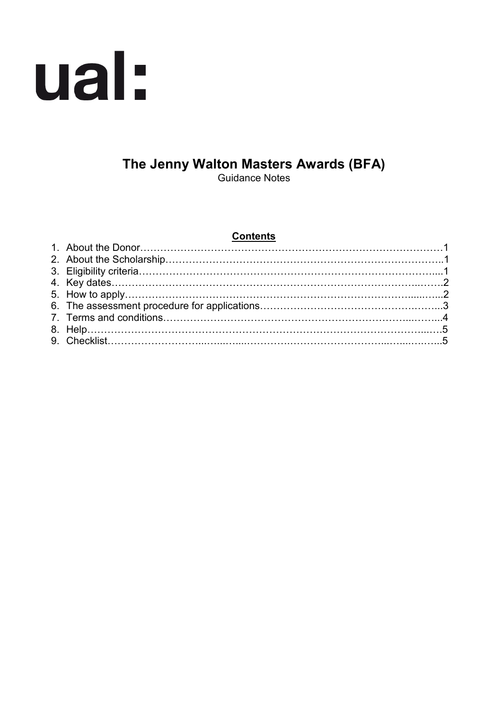

# **The Jenny Walton Masters Awards (BFA)**

Guidance Notes

#### **Contents**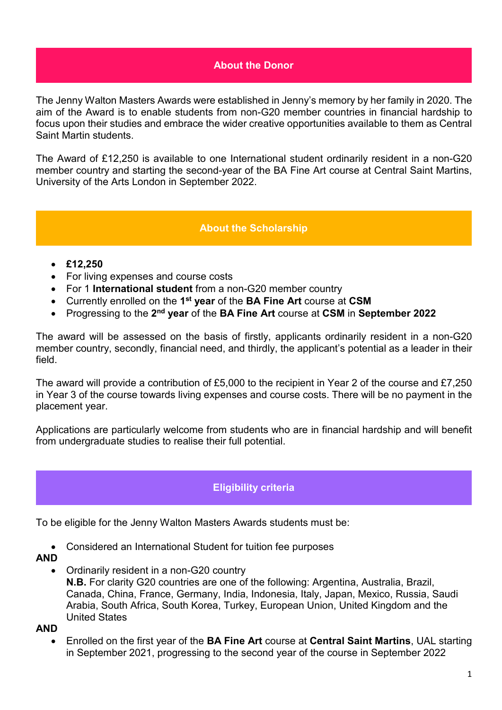#### **About the Donor**

The Jenny Walton Masters Awards were established in Jenny's memory by her family in 2020. The aim of the Award is to enable students from non-G20 member countries in financial hardship to focus upon their studies and embrace the wider creative opportunities available to them as Central Saint Martin students.

The Award of £12,250 is available to one International student ordinarily resident in a non-G20 member country and starting the second-year of the BA Fine Art course at Central Saint Martins, University of the Arts London in September 2022.

#### **About the Scholarship**

- **£12,250**
- For living expenses and course costs
- For 1 **International student** from a non-G20 member country
- Currently enrolled on the **1st year** of the **BA Fine Art** course at **CSM**
- Progressing to the **2nd year** of the **BA Fine Art** course at **CSM** in **September 2022**

The award will be assessed on the basis of firstly, applicants ordinarily resident in a non-G20 member country, secondly, financial need, and thirdly, the applicant's potential as a leader in their field.

The award will provide a contribution of £5,000 to the recipient in Year 2 of the course and £7,250 in Year 3 of the course towards living expenses and course costs. There will be no payment in the placement year.

Applications are particularly welcome from students who are in financial hardship and will benefit from undergraduate studies to realise their full potential.

#### **Eligibility criteria**

To be eligible for the Jenny Walton Masters Awards students must be:

• Considered an International Student for tuition fee purposes

#### **AND**

• Ordinarily resident in a non-G20 country

**N.B.** For clarity G20 countries are one of the following: Argentina, Australia, Brazil, Canada, China, France, Germany, India, Indonesia, Italy, Japan, Mexico, Russia, Saudi Arabia, South Africa, South Korea, Turkey, European Union, United Kingdom and the United States

**AND**

• Enrolled on the first year of the **BA Fine Art** course at **Central Saint Martins**, UAL starting in September 2021, progressing to the second year of the course in September 2022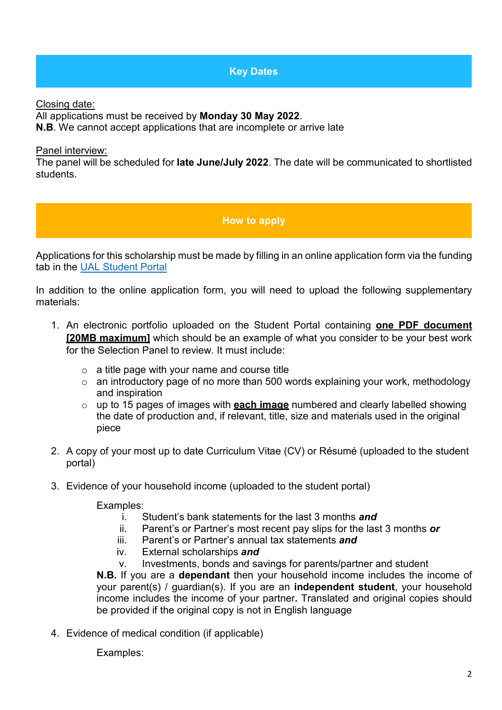**Key Dates**

Closing date:

All applications must be received by **Monday 30 May 2022**.

**N.B**. We cannot accept applications that are incomplete or arrive late

Panel interview:

The panel will be scheduled for **late June/July 2022**. The date will be communicated to shortlisted students.

### **How to apply**

Applications for this scholarship must be made by filling in an online application form via the funding tab in the [UAL Student Portal](https://sits.arts.ac.uk/urd/sits.urd/run/SIW_LGN)

In addition to the online application form, you will need to upload the following supplementary materials:

- 1. An electronic portfolio uploaded on the Student Portal containing **one PDF document [20MB maximum]** which should be an example of what you consider to be your best work for the Selection Panel to review. It must include:
	- $\circ$  a title page with your name and course title
	- o an introductory page of no more than 500 words explaining your work, methodology and inspiration
	- o up to 15 pages of images with **each image** numbered and clearly labelled showing the date of production and, if relevant, title, size and materials used in the original piece
- 2. A copy of your most up to date Curriculum Vitae (CV) or Résumé (uploaded to the student portal)
- 3. Evidence of your household income (uploaded to the student portal)

Examples:

- i. Student's bank statements for the last 3 months *and*
- ii. Parent's or Partner's most recent pay slips for the last 3 months *or*
- iii. Parent's or Partner's annual tax statements *and*
- iv. External scholarships *and*
- v. Investments, bonds and savings for parents/partner and student

**N.B.** If you are a **dependant** then your household income includes the income of your parent(s) / guardian(s). If you are an **independent student**, your household income includes the income of your partner**.** Translated and original copies should be provided if the original copy is not in English language

4. Evidence of medical condition (if applicable)

Examples: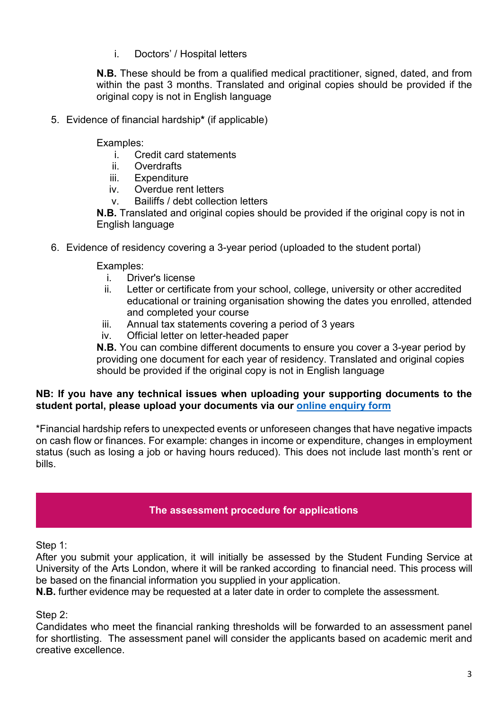i. Doctors' / Hospital letters

**N.B.** These should be from a qualified medical practitioner, signed, dated, and from within the past 3 months. Translated and original copies should be provided if the original copy is not in English language

5. Evidence of financial hardship**\*** (if applicable)

Examples:

- i. Credit card statements
- ii. Overdrafts
- iii. Expenditure
- iv. Overdue rent letters
- v. Bailiffs / debt collection letters

**N.B.** Translated and original copies should be provided if the original copy is not in English language

6. Evidence of residency covering a 3-year period (uploaded to the student portal)

Examples:

- i. Driver's license
- ii. Letter or certificate from your school, college, university or other accredited educational or training organisation showing the dates you enrolled, attended and completed your course
- iii. Annual tax statements covering a period of 3 years
- iv. Official letter on letter-headed paper

**N.B.** You can combine different documents to ensure you cover a 3-year period by providing one document for each year of residency. Translated and original copies should be provided if the original copy is not in English language

### **NB: If you have any technical issues when uploading your supporting documents to the student portal, please upload your documents via our [online enquiry form](https://forms.arts.ac.uk/funding-student-enquiry-form/)**

\*Financial hardship refers to unexpected events or unforeseen changes that have negative impacts on cash flow or finances. For example: changes in income or expenditure, changes in employment status (such as losing a job or having hours reduced). This does not include last month's rent or bills.

## **The assessment procedure for applications**

Step 1:

After you submit your application, it will initially be assessed by the Student Funding Service at University of the Arts London, where it will be ranked according to financial need. This process will be based on the financial information you supplied in your application.

**N.B.** further evidence may be requested at a later date in order to complete the assessment.

Step 2:

Candidates who meet the financial ranking thresholds will be forwarded to an assessment panel for shortlisting. The assessment panel will consider the applicants based on academic merit and creative excellence.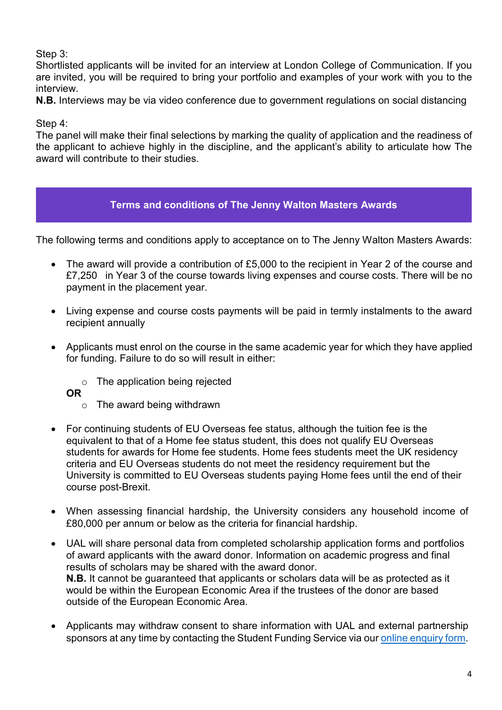### Step 3:

Shortlisted applicants will be invited for an interview at London College of Communication. If you are invited, you will be required to bring your portfolio and examples of your work with you to the interview.

**N.B.** Interviews may be via video conference due to government regulations on social distancing

Step 4:

The panel will make their final selections by marking the quality of application and the readiness of the applicant to achieve highly in the discipline, and the applicant's ability to articulate how The award will contribute to their studies.

### **Terms and conditions of The Jenny Walton Masters Awards**

The following terms and conditions apply to acceptance on to The Jenny Walton Masters Awards:

- The award will provide a contribution of £5,000 to the recipient in Year 2 of the course and £7,250 in Year 3 of the course towards living expenses and course costs. There will be no payment in the placement year.
- Living expense and course costs payments will be paid in termly instalments to the award recipient annually
- Applicants must enrol on the course in the same academic year for which they have applied for funding. Failure to do so will result in either:
	- o The application being rejected
	- **OR** 
		- o The award being withdrawn
- For continuing students of EU Overseas fee status, although the tuition fee is the equivalent to that of a Home fee status student, this does not qualify EU Overseas students for awards for Home fee students. Home fees students meet the UK residency criteria and EU Overseas students do not meet the residency requirement but the University is committed to EU Overseas students paying Home fees until the end of their course post-Brexit.
- When assessing financial hardship, the University considers any household income of £80,000 per annum or below as the criteria for financial hardship.
- UAL will share personal data from completed scholarship application forms and portfolios of award applicants with the award donor. Information on academic progress and final results of scholars may be shared with the award donor. **N.B.** It cannot be guaranteed that applicants or scholars data will be as protected as it would be within the European Economic Area if the trustees of the donor are based outside of the European Economic Area.
- Applicants may withdraw consent to share information with UAL and external partnership sponsors at any time by contacting the Student Funding Service via ou[r online enquiry form.](https://forms.arts.ac.uk/funding-student-enquiry-form/)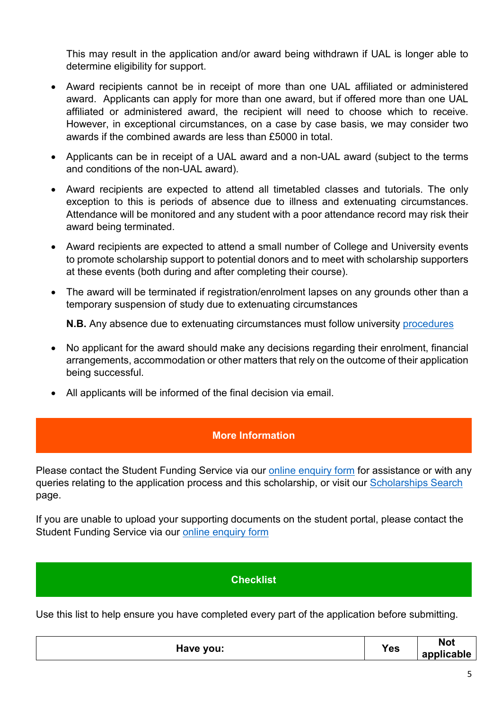This may result in the application and/or award being withdrawn if UAL is longer able to determine eligibility for support.

- Award recipients cannot be in receipt of more than one UAL affiliated or administered award. Applicants can apply for more than one award, but if offered more than one UAL affiliated or administered award, the recipient will need to choose which to receive. However, in exceptional circumstances, on a case by case basis, we may consider two awards if the combined awards are less than £5000 in total.
- Applicants can be in receipt of a UAL award and a non-UAL award (subject to the terms and conditions of the non-UAL award).
- Award recipients are expected to attend all timetabled classes and tutorials. The only exception to this is periods of absence due to illness and extenuating circumstances. Attendance will be monitored and any student with a poor attendance record may risk their award being terminated.
- Award recipients are expected to attend a small number of College and University events to promote scholarship support to potential donors and to meet with scholarship supporters at these events (both during and after completing their course).
- The award will be terminated if registration/enrolment lapses on any grounds other than a temporary suspension of study due to extenuating circumstances

**N.B.** Any absence due to extenuating circumstances must follow university [procedures](https://www.arts.ac.uk/study-at-ual/academic-regulations/course-regulations/extenuating-circumstances-and-time-out)

- No applicant for the award should make any decisions regarding their enrolment, financial arrangements, accommodation or other matters that rely on the outcome of their application being successful.
- All applicants will be informed of the final decision via email.

#### **More Information**

Please contact the Student Funding Service via our [online enquiry form](https://forms.arts.ac.uk/funding-student-enquiry-form/) for assistance or with any queries relating to the application process and this scholarship, or visit our [Scholarships Search](http://www.arts.ac.uk/study-at-ual/student-fees--funding/scholarships-search/) page.

If you are unable to upload your supporting documents on the student portal, please contact the Student Funding Service via our [online enquiry form](https://forms.arts.ac.uk/funding-student-enquiry-form/)

#### **Checklist**

Use this list to help ensure you have completed every part of the application before submitting.

| Have you: | <b>Yes</b> | <b>Not</b><br>applicable |
|-----------|------------|--------------------------|
|-----------|------------|--------------------------|